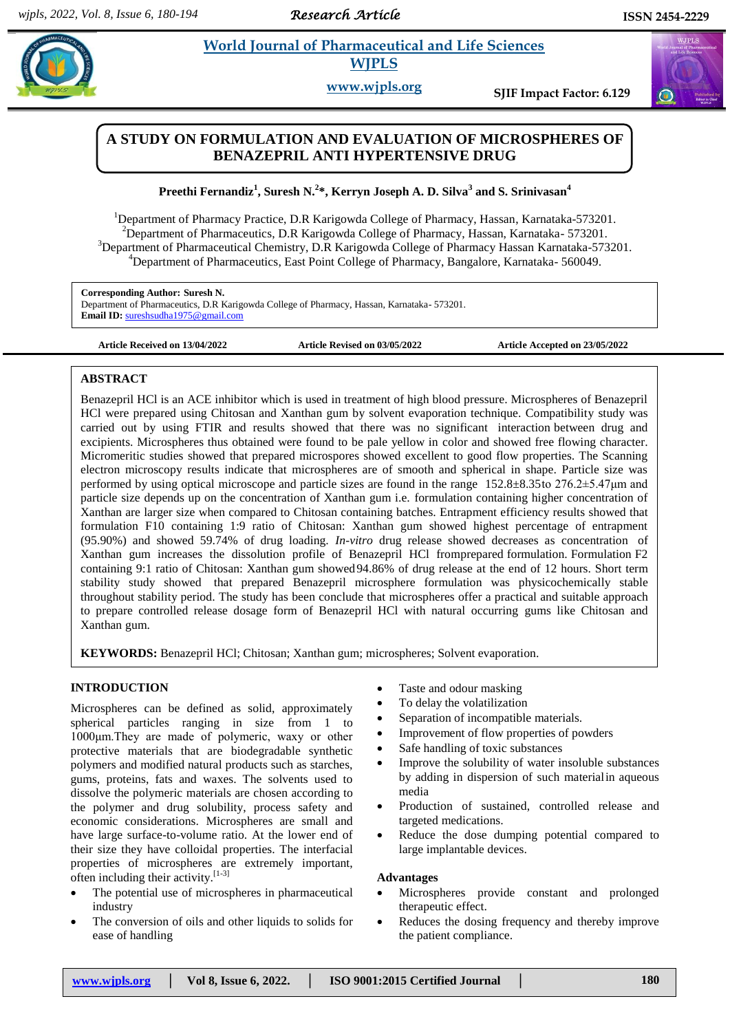*Research Article* 

 $\bigodot$ 

# **Example 3** *E**World Journal of Pharmaceutical and Life Sciences* **<b>***Reserved Reserved Reserved Reserved Reserved Reserved Reserved Reserved Reserved Reserved Reserved***</del> <b>***Reserved* **WJPLS**

**www.wjpls.org SJIF Impact Factor: 6.129**

## **A STUDY ON FORMULATION AND EVALUATION OF MICROSPHERES OF BENAZEPRIL ANTI HYPERTENSIVE DRUG**

## **Preethi Fernandiz<sup>1</sup> , Suresh N. 2 \*, Kerryn Joseph A. D. Silva<sup>3</sup> and S. Srinivasan<sup>4</sup>**

<sup>1</sup>Department of Pharmacy Practice, D.R Karigowda College of Pharmacy, Hassan, Karnataka-573201. <sup>2</sup>Department of Pharmaceutics, D.R Karigowda College of Pharmacy, Hassan, Karnataka- 573201. <sup>3</sup>Department of Pharmaceutical Chemistry, D.R Karigowda College of Pharmacy Hassan Karnataka-573201. <sup>4</sup>Department of Pharmaceutics, East Point College of Pharmacy, Bangalore, Karnataka- 560049.

**Corresponding Author: Suresh N.** Department of Pharmaceutics, D.R Karigowda College of Pharmacy, Hassan, Karnataka- 573201. **Email ID:** [sureshsudha1975@gmail.com](mailto:sureshsudha1975@gmail.com)

**Article Received on 13/04/2022 Article Revised on 03/05/2022 Article Accepted on 23/05/2022**

## **ABSTRACT**

Benazepril HCl is an ACE inhibitor which is used in treatment of high blood pressure. Microspheres of Benazepril HCl were prepared using Chitosan and Xanthan gum by solvent evaporation technique. Compatibility study was carried out by using FTIR and results showed that there was no significant interaction between drug and excipients. Microspheres thus obtained were found to be pale yellow in color and showed free flowing character. Micromeritic studies showed that prepared microspores showed excellent to good flow properties. The Scanning electron microscopy results indicate that microspheres are of smooth and spherical in shape. Particle size was performed by using optical microscope and particle sizes are found in the range 152.8±8.35to 276.2±5.47μm and particle size depends up on the concentration of Xanthan gum i.e. formulation containing higher concentration of Xanthan are larger size when compared to Chitosan containing batches. Entrapment efficiency results showed that formulation F10 containing 1:9 ratio of Chitosan: Xanthan gum showed highest percentage of entrapment (95.90%) and showed 59.74% of drug loading. *In-vitro* drug release showed decreases as concentration of Xanthan gum increases the dissolution profile of Benazepril HCl fromprepared formulation. Formulation F2 containing 9:1 ratio of Chitosan: Xanthan gum showed94.86% of drug release at the end of 12 hours. Short term stability study showed that prepared Benazepril microsphere formulation was physicochemically stable throughout stability period. The study has been conclude that microspheres offer a practical and suitable approach to prepare controlled release dosage form of Benazepril HCl with natural occurring gums like Chitosan and Xanthan gum.

**KEYWORDS:** Benazepril HCl; Chitosan; Xanthan gum; microspheres; Solvent evaporation.

## **INTRODUCTION**

Microspheres can be defined as solid, approximately spherical particles ranging in size from 1 to 1000μm.They are made of polymeric, waxy or other protective materials that are biodegradable synthetic polymers and modified natural products such as starches, gums, proteins, fats and waxes. The solvents used to dissolve the polymeric materials are chosen according to the polymer and drug solubility, process safety and economic considerations. Microspheres are small and have large surface-to-volume ratio. At the lower end of their size they have colloidal properties. The interfacial properties of microspheres are extremely important, often including their activity.<sup>[1-3]</sup>

- The potential use of microspheres in pharmaceutical industry
- The conversion of oils and other liquids to solids for ease of handling
- Taste and odour masking
- To delay the volatilization
- Separation of incompatible materials.
- Improvement of flow properties of powders
- Safe handling of toxic substances
- Improve the solubility of water insoluble substances by adding in dispersion of such materialin aqueous media
- Production of sustained, controlled release and targeted medications.
- Reduce the dose dumping potential compared to large implantable devices.

#### **Advantages**

- Microspheres provide constant and prolonged therapeutic effect.
- Reduces the dosing frequency and thereby improve the patient compliance.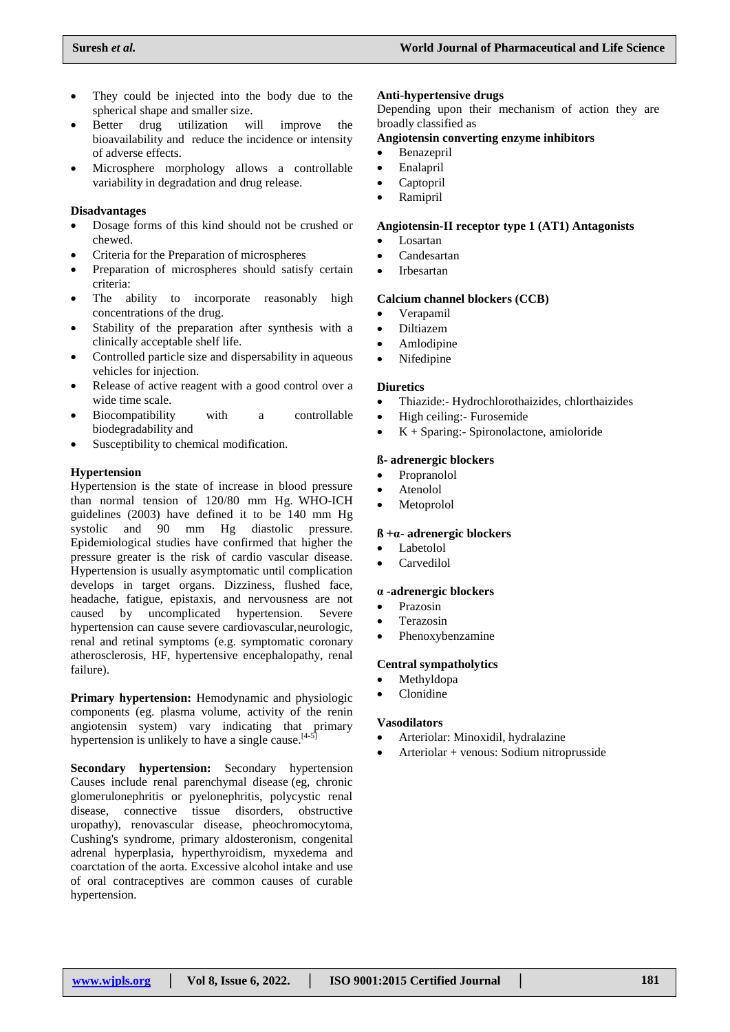- They could be injected into the body due to the spherical shape and smaller size.
- Better drug utilization will improve the bioavailability and reduce the incidence or intensity of adverse effects.
- Microsphere morphology allows a controllable variability in degradation and drug release.

## **Disadvantages**

- Dosage forms of this kind should not be crushed or chewed.
- Criteria for the Preparation of microspheres
- Preparation of microspheres should satisfy certain criteria:
- The ability to incorporate reasonably high concentrations of the drug.
- Stability of the preparation after synthesis with a clinically acceptable shelf life.
- Controlled particle size and dispersability in aqueous vehicles for injection.
- Release of active reagent with a good control over a wide time scale.
- Biocompatibility with a controllable biodegradability and
- Susceptibility to chemical modification.

## **Hypertension**

Hypertension is the state of increase in blood pressure than normal tension of 120/80 mm Hg. WHO-ICH guidelines (2003) have defined it to be 140 mm Hg systolic and 90 mm Hg diastolic pressure. Epidemiological studies have confirmed that higher the pressure greater is the risk of cardio vascular disease. Hypertension is usually asymptomatic until complication develops in target organs. Dizziness, flushed face, headache, fatigue, epistaxis, and nervousness are not caused by uncomplicated hypertension. Severe hypertension can cause severe cardiovascular,neurologic, renal and retinal symptoms (e.g. symptomatic coronary atherosclerosis, HF, hypertensive encephalopathy, renal failure).

**Primary hypertension:** Hemodynamic and physiologic components (eg. plasma volume, activity of the renin angiotensin system) vary indicating that primary hypertension is unlikely to have a single cause.<sup>[4-5]</sup>

**Secondary hypertension:** Secondary hypertension Causes include renal parenchymal disease (eg, chronic glomerulonephritis or pyelonephritis, polycystic renal disease, connective tissue disorders, obstructive uropathy), renovascular disease, pheochromocytoma, Cushing's syndrome, primary aldosteronism, congenital adrenal hyperplasia, hyperthyroidism, myxedema and coarctation of the aorta. Excessive alcohol intake and use of oral contraceptives are common causes of curable hypertension.

## **Anti-hypertensive drugs**

Depending upon their mechanism of action they are broadly classified as

## **Angiotensin converting enzyme inhibitors**

- Benazepril
- Enalapril
- Captopril
- Ramipril

## **Angiotensin-II receptor type 1 (AT1) Antagonists**

- Losartan
- Candesartan
- Irbesartan

## **Calcium channel blockers (CCB)**

- Verapamil
- Diltiazem
- Amlodipine
- Nifedipine

## **Diuretics**

- Thiazide:- Hydrochlorothaizides, chlorthaizides
- High ceiling:- Furosemide
- K + Sparing:- Spironolactone, amioloride

## **ß- adrenergic blockers**

- Propranolol
- Atenolol
- Metoprolol

## **ß +α- adrenergic blockers**

- Labetolol
- Carvedilol

## **α -adrenergic blockers**

- Prazosin
- Terazosin
- Phenoxybenzamine

## **Central sympatholytics**

- Methyldopa
- Clonidine

## **Vasodilators**

- Arteriolar: Minoxidil, hydralazine
- Arteriolar + venous: Sodium nitroprusside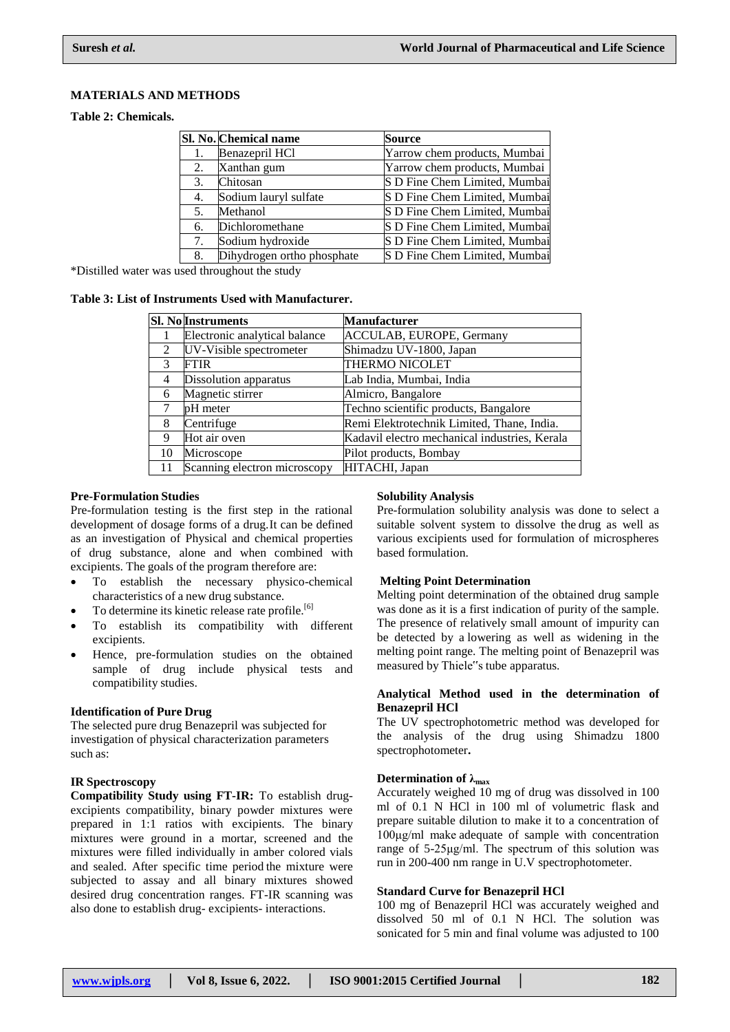## **MATERIALS AND METHODS**

**Table 2: Chemicals.**

|    | Sl. No. Chemical name      | <b>Source</b>                 |
|----|----------------------------|-------------------------------|
|    | Benazepril HCl             | Yarrow chem products, Mumbai  |
| 2. | Xanthan gum                | Yarrow chem products, Mumbai  |
| 3. | Chitosan                   | S D Fine Chem Limited, Mumbai |
| 4. | Sodium lauryl sulfate      | S D Fine Chem Limited, Mumbai |
| 5. | Methanol                   | S D Fine Chem Limited, Mumbai |
| 6. | Dichloromethane            | S D Fine Chem Limited, Mumbai |
| 7. | Sodium hydroxide           | S D Fine Chem Limited, Mumbai |
| 8. | Dihydrogen ortho phosphate | S D Fine Chem Limited, Mumbai |

\*Distilled water was used throughout the study

#### **Table 3: List of Instruments Used with Manufacturer.**

|                | <b>Sl. No Instruments</b>     | <b>Manufacturer</b>                           |
|----------------|-------------------------------|-----------------------------------------------|
|                | Electronic analytical balance | ACCULAB, EUROPE, Germany                      |
| 2              | UV-Visible spectrometer       | Shimadzu UV-1800, Japan                       |
| $\mathcal{R}$  | <b>FTIR</b>                   | THERMO NICOLET                                |
| $\overline{4}$ | Dissolution apparatus         | Lab India, Mumbai, India                      |
| 6              | Magnetic stirrer              | Almicro, Bangalore                            |
| 7              | pH meter                      | Techno scientific products, Bangalore         |
| 8              | Centrifuge                    | Remi Elektrotechnik Limited, Thane, India.    |
| 9              | Hot air oven                  | Kadavil electro mechanical industries, Kerala |
| 10             | Microscope                    | Pilot products, Bombay                        |
| 11             | Scanning electron microscopy  | HITACHI, Japan                                |

### **Pre-Formulation Studies**

Pre-formulation testing is the first step in the rational development of dosage forms of a drug.It can be defined as an investigation of Physical and chemical properties of drug substance, alone and when combined with excipients. The goals of the program therefore are:

- To establish the necessary physico-chemical characteristics of a new drug substance.
- To determine its kinetic release rate profile.<sup>[6]</sup>
- To establish its compatibility with different excipients.
- Hence, pre-formulation studies on the obtained sample of drug include physical tests and compatibility studies.

#### **Identification of Pure Drug**

The selected pure drug Benazepril was subjected for investigation of physical characterization parameters such as:

#### **IR Spectroscopy**

**Compatibility Study using FT-IR:** To establish drugexcipients compatibility, binary powder mixtures were prepared in 1:1 ratios with excipients. The binary mixtures were ground in a mortar, screened and the mixtures were filled individually in amber colored vials and sealed. After specific time period the mixture were subjected to assay and all binary mixtures showed desired drug concentration ranges. FT-IR scanning was also done to establish drug- excipients- interactions.

#### **Solubility Analysis**

Pre-formulation solubility analysis was done to select a suitable solvent system to dissolve the drug as well as various excipients used for formulation of microspheres based formulation.

#### **Melting Point Determination**

Melting point determination of the obtained drug sample was done as it is a first indication of purity of the sample. The presence of relatively small amount of impurity can be detected by a lowering as well as widening in the melting point range. The melting point of Benazepril was measured by Thiele"s tube apparatus.

#### **Analytical Method used in the determination of Benazepril HCl**

The UV spectrophotometric method was developed for the analysis of the drug using Shimadzu 1800 spectrophotometer**.**

## **Determination of λmax**

Accurately weighed 10 mg of drug was dissolved in 100 ml of 0.1 N HCl in 100 ml of volumetric flask and prepare suitable dilution to make it to a concentration of 100μg/ml make adequate of sample with concentration range of 5-25μg/ml. The spectrum of this solution was run in 200-400 nm range in U.V spectrophotometer.

### **Standard Curve for Benazepril HCl**

100 mg of Benazepril HCl was accurately weighed and dissolved 50 ml of 0.1 N HCl. The solution was sonicated for 5 min and final volume was adjusted to 100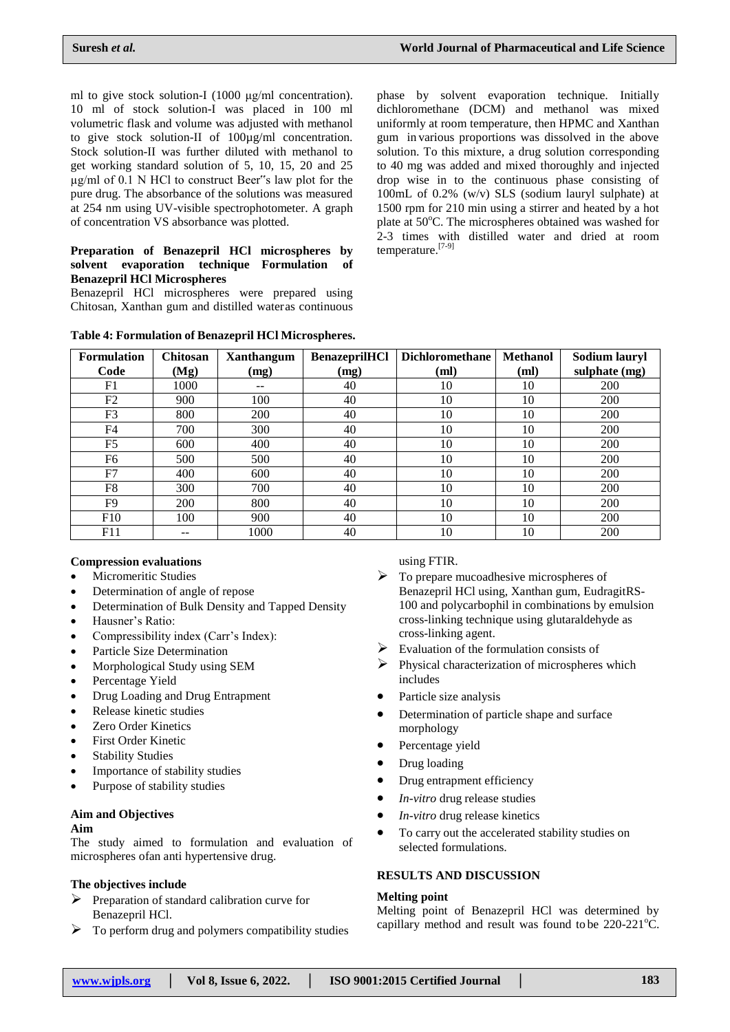ml to give stock solution-I (1000 μg/ml concentration). 10 ml of stock solution-I was placed in 100 ml volumetric flask and volume was adjusted with methanol to give stock solution-II of 100µg/ml concentration. Stock solution-II was further diluted with methanol to get working standard solution of 5, 10, 15, 20 and 25 µg/ml of 0.1 N HCl to construct Beer"s law plot for the pure drug. The absorbance of the solutions was measured at 254 nm using UV-visible spectrophotometer. A graph of concentration VS absorbance was plotted.

#### **Preparation of Benazepril HCl microspheres by solvent evaporation technique Formulation of Benazepril HCl Microspheres**

Benazepril HCl microspheres were prepared using Chitosan, Xanthan gum and distilled wateras continuous

phase by solvent evaporation technique. Initially dichloromethane (DCM) and methanol was mixed uniformly at room temperature, then HPMC and Xanthan gum in various proportions was dissolved in the above solution. To this mixture, a drug solution corresponding to 40 mg was added and mixed thoroughly and injected drop wise in to the continuous phase consisting of 100mL of 0.2% (w/v) SLS (sodium lauryl sulphate) at 1500 rpm for 210 min using a stirrer and heated by a hot plate at 50°C. The microspheres obtained was washed for 2-3 times with distilled water and dried at room temperature.<sup>[7-9]</sup>

| <b>Formulation</b><br>Code | <b>Chitosan</b><br>(Mg) | Xanthangum<br>(mg) | <b>BenazeprilHCl</b><br>(mg) | <b>Dichloromethane</b><br>(ml) | <b>Methanol</b><br>(ml) | Sodium lauryl<br>sulphate (mg) |
|----------------------------|-------------------------|--------------------|------------------------------|--------------------------------|-------------------------|--------------------------------|
| F1                         | 1000                    | $- -$              | 40                           | 10                             | 10                      | 200                            |
| F <sub>2</sub>             | 900                     | 100                | 40                           | 10                             | 10                      | 200                            |
| F <sub>3</sub>             | 800                     | 200                | 40                           | 10                             | 10                      | 200                            |
| F <sub>4</sub>             | 700                     | 300                | 40                           | 10                             | 10                      | 200                            |
| F <sub>5</sub>             | 600                     | 400                | 40                           | 10                             | 10                      | 200                            |
| F6                         | 500                     | 500                | 40                           | 10                             | 10                      | 200                            |
| F7                         | 400                     | 600                | 40                           | 10                             | 10                      | 200                            |
| F8                         | 300                     | 700                | 40                           | 10                             | 10                      | 200                            |
| F <sub>9</sub>             | 200                     | 800                | 40                           | 10                             | 10                      | 200                            |
| F10                        | 100                     | 900                | 40                           | 10                             | 10                      | 200                            |
| F11                        |                         | 1000               | 40                           | 10                             | 10                      | 200                            |

#### **Table 4: Formulation of Benazepril HCl Microspheres.**

#### **Compression evaluations**

- Micromeritic Studies
- Determination of angle of repose
- Determination of Bulk Density and Tapped Density
- Hausner's Ratio:
- Compressibility index (Carr's Index):
- Particle Size Determination
- Morphological Study using SEM
- Percentage Yield
- Drug Loading and Drug Entrapment
- Release kinetic studies
- Zero Order Kinetics
- First Order Kinetic
- Stability Studies
- Importance of stability studies
- Purpose of stability studies

## **Aim and Objectives**

#### **Aim**

The study aimed to formulation and evaluation of microspheres ofan anti hypertensive drug.

## **The objectives include**

- $\triangleright$  Preparation of standard calibration curve for Benazepril HCl.
- $\triangleright$  To perform drug and polymers compatibility studies

using FTIR.

- $\triangleright$  To prepare mucoadhesive microspheres of Benazepril HCl using, Xanthan gum, EudragitRS-100 and polycarbophil in combinations by emulsion cross-linking technique using glutaraldehyde as cross-linking agent.
- Evaluation of the formulation consists of
- $\triangleright$  Physical characterization of microspheres which includes
- Particle size analysis
- Determination of particle shape and surface morphology
- Percentage yield
- Drug loading
- Drug entrapment efficiency
- *In-vitro* drug release studies
- *In-vitro* drug release kinetics
- To carry out the accelerated stability studies on selected formulations.

### **RESULTS AND DISCUSSION**

#### **Melting point**

Melting point of Benazepril HCl was determined by capillary method and result was found to be  $220-221^{\circ}C$ .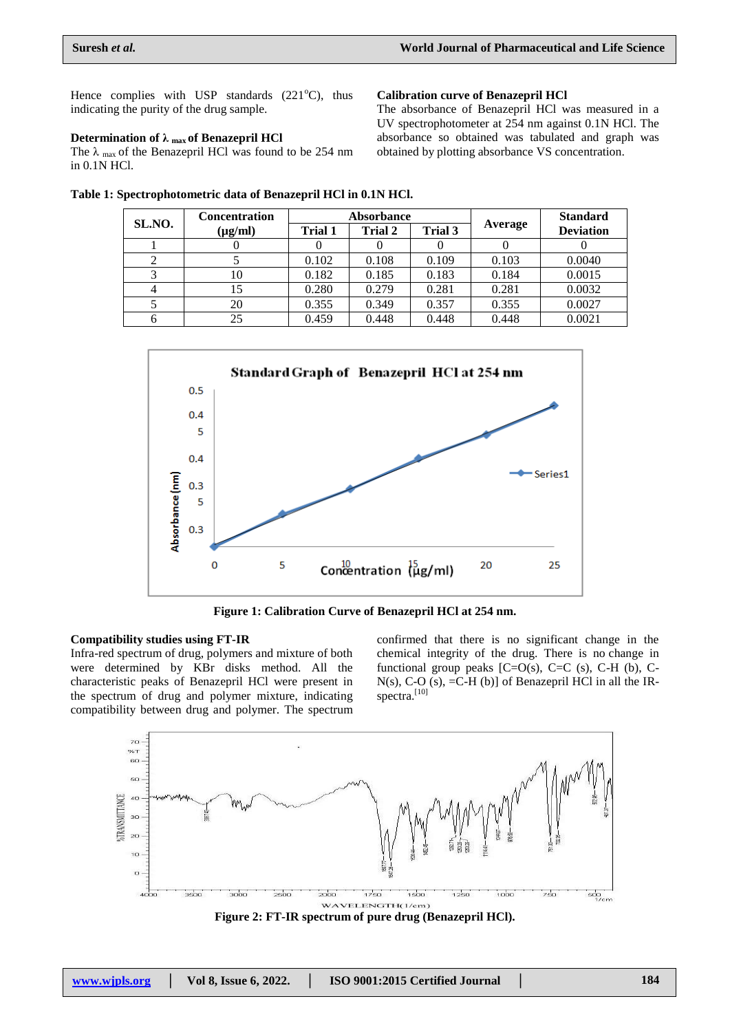Hence complies with USP standards  $(221^{\circ}C)$ , thus indicating the purity of the drug sample.

### **Determination of λ max of Benazepril HCl**

The  $\lambda$  <sub>max</sub> of the Benazepril HCl was found to be 254 nm in 0.1N HCl.

**Table 1: Spectrophotometric data of Benazepril HCl in 0.1N HCl.**

**Calibration curve of Benazepril HCl** The absorbance of Benazepril HCl was measured in a

UV spectrophotometer at 254 nm against 0.1N HCl. The absorbance so obtained was tabulated and graph was obtained by plotting absorbance VS concentration.

| SL.NO. | <b>Concentration</b> |                                             | <b>Absorbance</b> |         |                  | <b>Standard</b> |
|--------|----------------------|---------------------------------------------|-------------------|---------|------------------|-----------------|
|        | $(\mu g/ml)$         | Trial 3<br><b>Trial 2</b><br><b>Trial 1</b> |                   | Average | <b>Deviation</b> |                 |
|        |                      |                                             |                   |         |                  |                 |
|        |                      | 0.102                                       | 0.108             | 0.109   | 0.103            | 0.0040          |
|        | 10                   | 0.182                                       | 0.185             | 0.183   | 0.184            | 0.0015          |
|        |                      | 0.280                                       | 0.279             | 0.281   | 0.281            | 0.0032          |
|        | 20                   | 0.355                                       | 0.349             | 0.357   | 0.355            | 0.0027          |
|        | 25                   | 0.459                                       | 0.448             | 0.448   | 0.448            | 0.0021          |



**Figure 1: Calibration Curve of Benazepril HCl at 254 nm.**

#### **Compatibility studies using FT-IR**

Infra-red spectrum of drug, polymers and mixture of both were determined by KBr disks method. All the characteristic peaks of Benazepril HCl were present in the spectrum of drug and polymer mixture, indicating compatibility between drug and polymer. The spectrum

confirmed that there is no significant change in the chemical integrity of the drug. There is no change in functional group peaks  $[C=O(s), C=C(s), C-H$  (b), C- $N(s)$ , C-O  $(s)$ , =C-H $(b)$ ] of Benazepril HCl in all the IRspectra.<sup>[10]</sup>



**Figure 2: FT-IR spectrum of pure drug (Benazepril HCl).**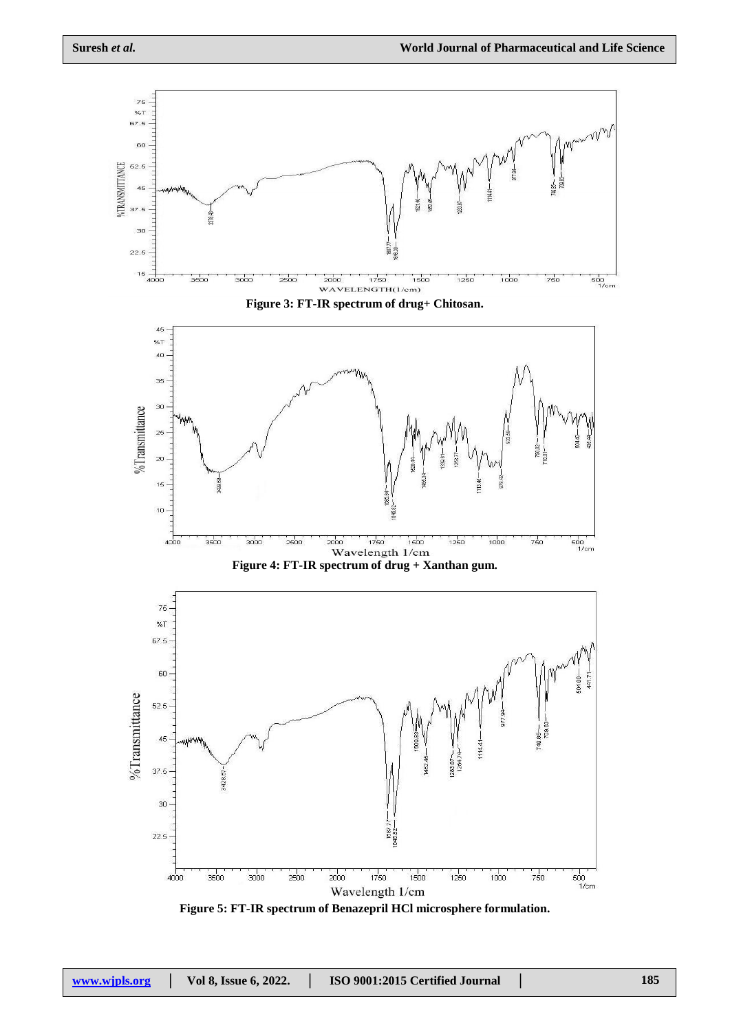

Wavelength 1/cm

**Figure 5: FT-IR spectrum of Benazepril HCl microsphere formulation.**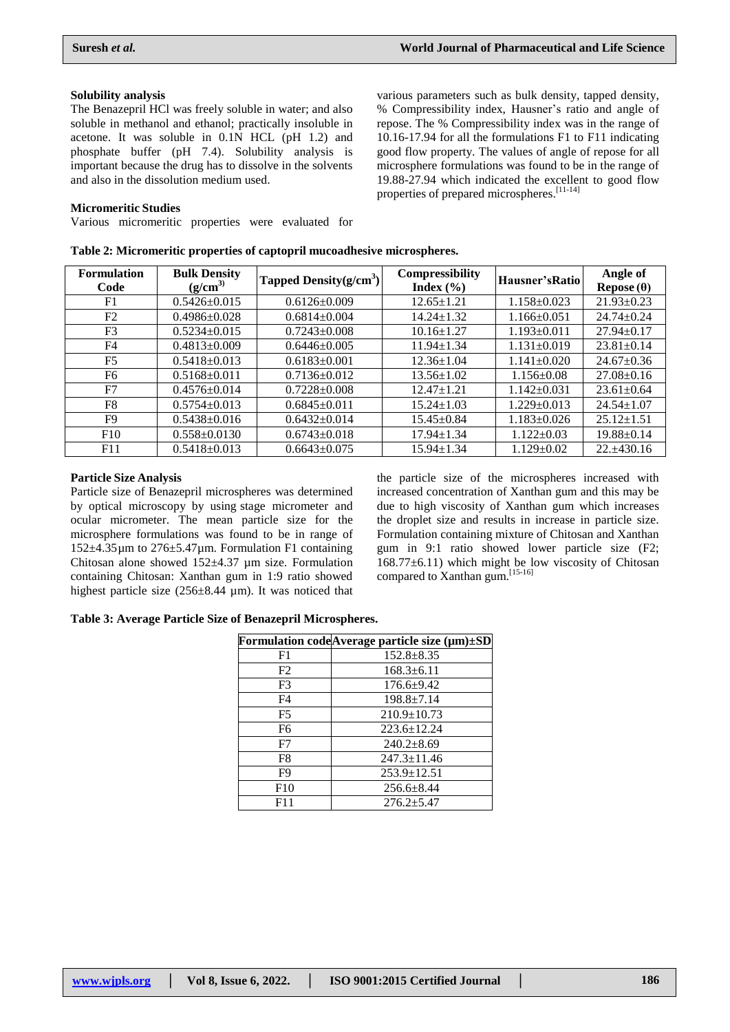various parameters such as bulk density, tapped density, % Compressibility index, Hausner's ratio and angle of

#### **Solubility analysis**

The Benazepril HCl was freely soluble in water; and also soluble in methanol and ethanol; practically insoluble in acetone. It was soluble in 0.1N HCL (pH 1.2) and phosphate buffer (pH 7.4). Solubility analysis is important because the drug has to dissolve in the solvents and also in the dissolution medium used.

#### **Micromeritic Studies**

Various micromeritic properties were evaluated for

repose. The % Compressibility index was in the range of 10.16-17.94 for all the formulations F1 to F11 indicating good flow property. The values of angle of repose for all microsphere formulations was found to be in the range of 19.88-27.94 which indicated the excellent to good flow properties of prepared microspheres.<sup>[11-14]</sup>

| <b>Formulation</b><br>Code | <b>Bulk Density</b><br>$(g/cm^3)$ | Tapped Density $(g/cm3)$ | <b>Compressibility</b><br>Index $(\% )$ | Hausner's Ratio   | Angle of<br>Repose $(\theta)$ |
|----------------------------|-----------------------------------|--------------------------|-----------------------------------------|-------------------|-------------------------------|
| F1                         | $0.5426 \pm 0.015$                | $0.6126 \pm 0.009$       | $12.65 \pm 1.21$                        | $1.158 \pm 0.023$ | $21.93 \pm 0.23$              |
| F2                         | $0.4986 \pm 0.028$                | $0.6814 \pm 0.004$       | $14.24 \pm 1.32$                        | $1.166 \pm 0.051$ | $24.74 \pm 0.24$              |
| F <sub>3</sub>             | $0.5234 \pm 0.015$                | $0.7243 \pm 0.008$       | $10.16 \pm 1.27$                        | $1.193 \pm 0.011$ | $27.94 \pm 0.17$              |
| F4                         | $0.4813 \pm 0.009$                | $0.6446 \pm 0.005$       | $11.94 \pm 1.34$                        | $1.131 \pm 0.019$ | $23.81 \pm 0.14$              |
| F <sub>5</sub>             | $0.5418 \pm 0.013$                | $0.6183 \pm 0.001$       | $12.36 \pm 1.04$                        | $1.141 \pm 0.020$ | $24.67 \pm 0.36$              |
| F6                         | $0.5168 \pm 0.011$                | $0.7136 \pm 0.012$       | $13.56 \pm 1.02$                        | $1.156 \pm 0.08$  | $27.08 \pm 0.16$              |
| F7                         | $0.4576 \pm 0.014$                | $0.7228 \pm 0.008$       | $12.47 \pm 1.21$                        | $1.142 \pm 0.031$ | $23.61 \pm 0.64$              |
| F8                         | $0.5754 \pm 0.013$                | $0.6845 \pm 0.011$       | $15.24 \pm 1.03$                        | $1.229 \pm 0.013$ | $24.54 \pm 1.07$              |
| F9                         | $0.5438 \pm 0.016$                | $0.6432 \pm 0.014$       | $15.45 \pm 0.84$                        | $1.183 \pm 0.026$ | $25.12 \pm 1.51$              |
| F10                        | $0.558 \pm 0.0130$                | $0.6743 \pm 0.018$       | 17.94±1.34                              | $1.122 \pm 0.03$  | $19.88 \pm 0.14$              |
| F11                        | $0.5418 \pm 0.013$                | $0.6643 \pm 0.075$       | $15.94 \pm 1.34$                        | $1.129 \pm 0.02$  | $22. \pm 430.16$              |

#### **Table 2: Micromeritic properties of captopril mucoadhesive microspheres.**

#### **Particle Size Analysis**

Particle size of Benazepril microspheres was determined by optical microscopy by using stage micrometer and ocular micrometer. The mean particle size for the microsphere formulations was found to be in range of 152±4.35µm to 276±5.47µm. Formulation F1 containing Chitosan alone showed 152±4.37 µm size. Formulation containing Chitosan: Xanthan gum in 1:9 ratio showed highest particle size (256±8.44 µm). It was noticed that

the particle size of the microspheres increased with increased concentration of Xanthan gum and this may be due to high viscosity of Xanthan gum which increases the droplet size and results in increase in particle size. Formulation containing mixture of Chitosan and Xanthan gum in 9:1 ratio showed lower particle size (F2;  $168.77\pm6.11$ ) which might be low viscosity of Chitosan compared to Xanthan gum.<sup>[15-16]</sup>

#### **Table 3: Average Particle Size of Benazepril Microspheres.**

|                | Formulation code Average particle size (µm)±SD |
|----------------|------------------------------------------------|
| F1             | $152.8 \pm 8.35$                               |
| F2             | $168.3 \pm 6.11$                               |
| F3             | $176.6 \pm 9.42$                               |
| F4             | $198.8 \pm 7.14$                               |
| F <sub>5</sub> | $210.9 \pm 10.73$                              |
| F6             | $223.6 \pm 12.24$                              |
| F7             | $240.2 \pm 8.69$                               |
| F8             | $247.3 \pm 11.46$                              |
| F9             | $253.9 \pm 12.51$                              |
| F10            | $256.6 \pm 8.44$                               |
| F11            | $276.2 \pm 5.47$                               |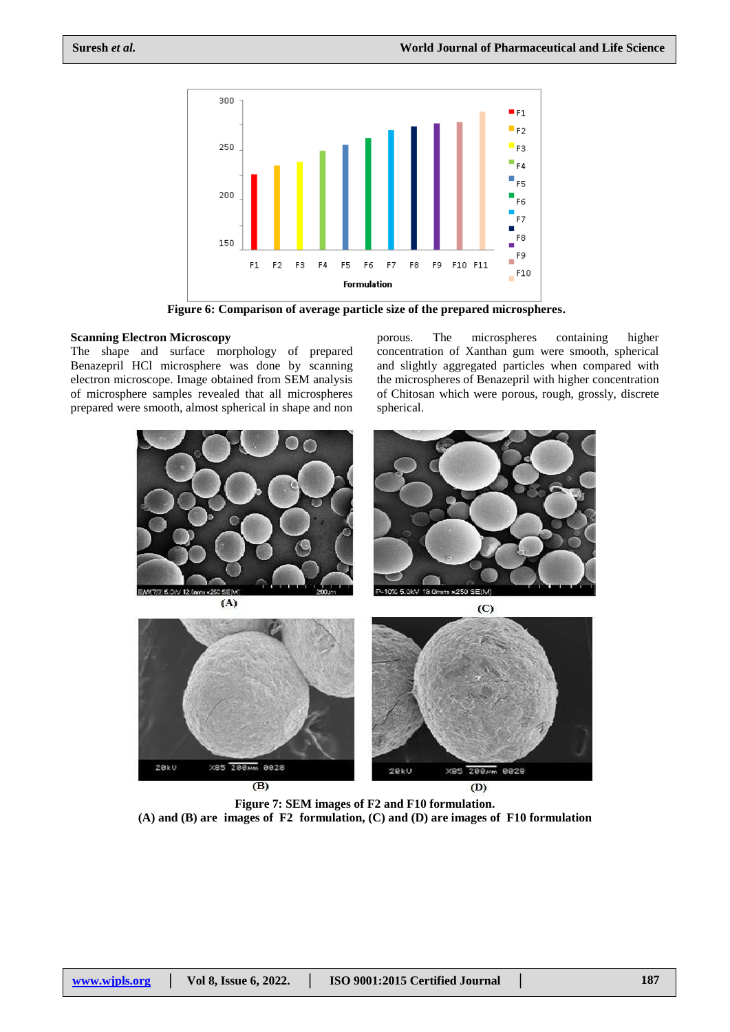

**Figure 6: Comparison of average particle size of the prepared microspheres.**

#### **Scanning Electron Microscopy**

The shape and surface morphology of prepared Benazepril HCl microsphere was done by scanning electron microscope. Image obtained from SEM analysis of microsphere samples revealed that all microspheres prepared were smooth, almost spherical in shape and non

porous. The microspheres containing higher concentration of Xanthan gum were smooth, spherical and slightly aggregated particles when compared with the microspheres of Benazepril with higher concentration of Chitosan which were porous, rough, grossly, discrete spherical.



**Figure 7: SEM images of F2 and F10 formulation. (A) and (B) are images of F2 formulation, (C) and (D) are images of F10 formulation**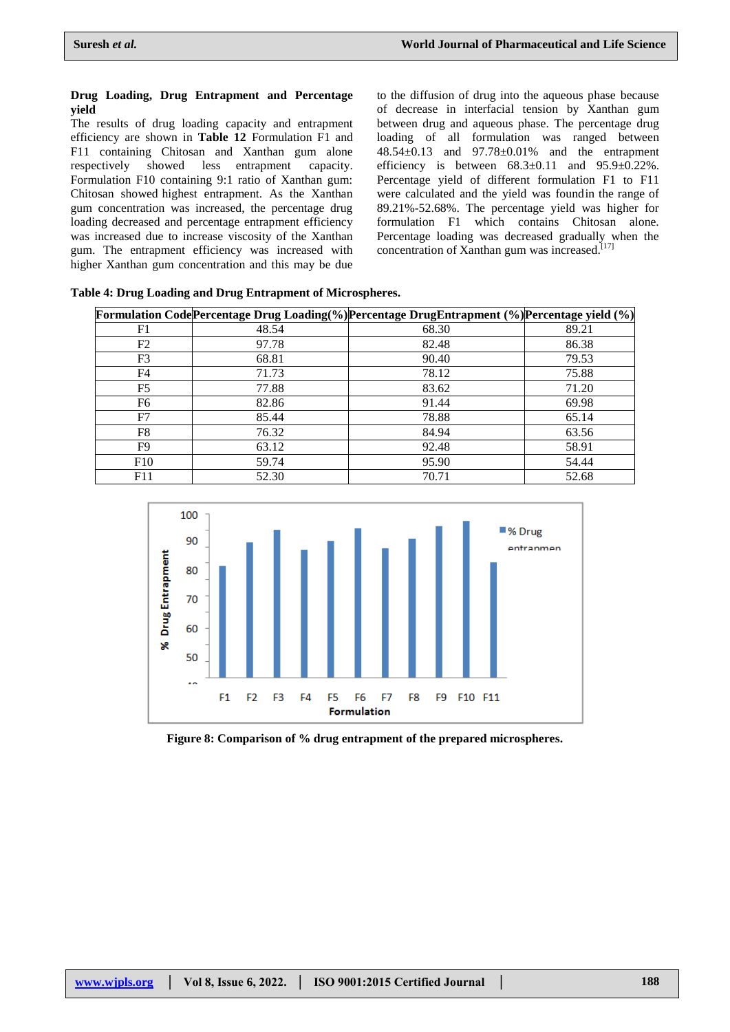#### **Drug Loading, Drug Entrapment and Percentage yield**

The results of drug loading capacity and entrapment efficiency are shown in **Table 12** Formulation F1 and F11 containing Chitosan and Xanthan gum alone respectively showed less entrapment capacity. Formulation F10 containing 9:1 ratio of Xanthan gum: Chitosan showed highest entrapment. As the Xanthan gum concentration was increased, the percentage drug loading decreased and percentage entrapment efficiency was increased due to increase viscosity of the Xanthan gum. The entrapment efficiency was increased with higher Xanthan gum concentration and this may be due

to the diffusion of drug into the aqueous phase because of decrease in interfacial tension by Xanthan gum between drug and aqueous phase. The percentage drug loading of all formulation was ranged between 48.54±0.13 and 97.78±0.01% and the entrapment efficiency is between  $68.3 \pm 0.11$  and  $95.9 \pm 0.22\%$ . Percentage yield of different formulation F1 to F11 were calculated and the yield was foundin the range of 89.21%-52.68%. The percentage yield was higher for formulation F1 which contains Chitosan alone. Percentage loading was decreased gradually when the concentration of Xanthan gum was increased.<sup>[17]</sup>

|                |       | <b>Formulation Code Percentage Drug Loading (%) Percentage DrugEntrapment (%) Percentage yield (%)</b> |       |
|----------------|-------|--------------------------------------------------------------------------------------------------------|-------|
| F1             | 48.54 | 68.30                                                                                                  | 89.21 |
| F2             | 97.78 | 82.48                                                                                                  | 86.38 |
| F3             | 68.81 | 90.40                                                                                                  | 79.53 |
| F4             | 71.73 | 78.12                                                                                                  | 75.88 |
| F <sub>5</sub> | 77.88 | 83.62                                                                                                  | 71.20 |
| F6             | 82.86 | 91.44                                                                                                  | 69.98 |
| F7             | 85.44 | 78.88                                                                                                  | 65.14 |
| F8             | 76.32 | 84.94                                                                                                  | 63.56 |
| F9             | 63.12 | 92.48                                                                                                  | 58.91 |
| F10            | 59.74 | 95.90                                                                                                  | 54.44 |
| F11            | 52.30 | 70.71                                                                                                  | 52.68 |





**Figure 8: Comparison of % drug entrapment of the prepared microspheres.**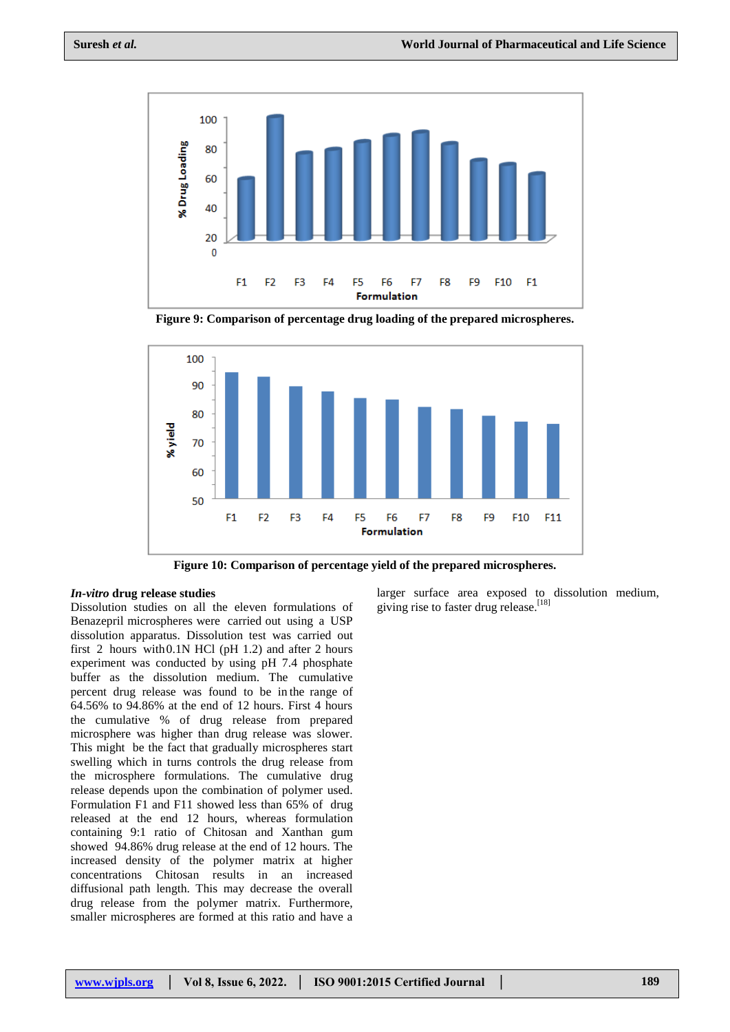

**Figure 9: Comparison of percentage drug loading of the prepared microspheres.**



**Figure 10: Comparison of percentage yield of the prepared microspheres.**

#### *In-vitro* **drug release studies**

Dissolution studies on all the eleven formulations of Benazepril microspheres were carried out using a USP dissolution apparatus. Dissolution test was carried out first 2 hours with0.1N HCl (pH 1.2) and after 2 hours experiment was conducted by using pH 7.4 phosphate buffer as the dissolution medium. The cumulative percent drug release was found to be in the range of 64.56% to 94.86% at the end of 12 hours. First 4 hours the cumulative % of drug release from prepared microsphere was higher than drug release was slower. This might be the fact that gradually microspheres start swelling which in turns controls the drug release from the microsphere formulations. The cumulative drug release depends upon the combination of polymer used. Formulation F1 and F11 showed less than 65% of drug released at the end 12 hours, whereas formulation containing 9:1 ratio of Chitosan and Xanthan gum showed 94.86% drug release at the end of 12 hours. The increased density of the polymer matrix at higher concentrations Chitosan results in an increased diffusional path length. This may decrease the overall drug release from the polymer matrix. Furthermore, smaller microspheres are formed at this ratio and have a

larger surface area exposed to dissolution medium, giving rise to faster drug release.<sup>[18]</sup>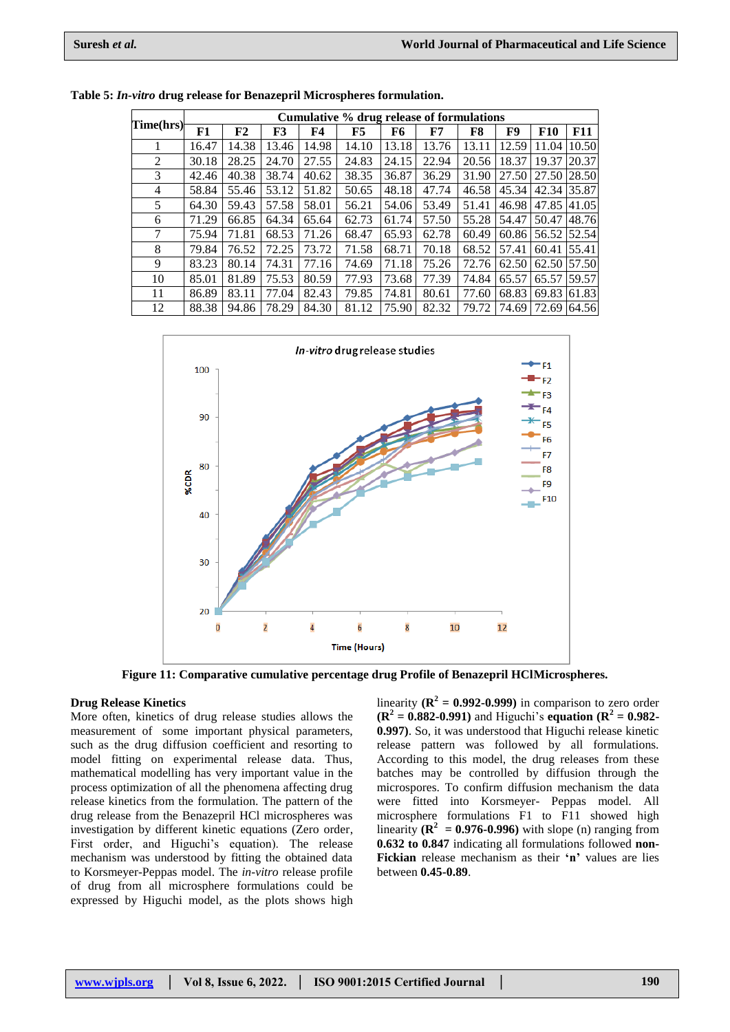|                | Cumulative % drug release of formulations |       |       |       |       |       |       |       |       |             |            |
|----------------|-------------------------------------------|-------|-------|-------|-------|-------|-------|-------|-------|-------------|------------|
| Time(hrs)      | F1                                        | F2    | F3    | F4    | F5    | F6    | F7    | F8    | F9    | <b>F10</b>  | <b>F11</b> |
|                | 16.47                                     | 14.38 | 13.46 | 14.98 | 14.10 | 13.18 | 13.76 | 13.11 | 12.59 | 11.04       | 10.50      |
| 2              | 30.18                                     | 28.25 | 24.70 | 27.55 | 24.83 | 24.15 | 22.94 | 20.56 | 18.37 | 19.37       | 20.37      |
| 3              | 42.46                                     | 40.38 | 38.74 | 40.62 | 38.35 | 36.87 | 36.29 | 31.90 | 27.50 | 27.50       | 28.50      |
| $\overline{4}$ | 58.84                                     | 55.46 | 53.12 | 51.82 | 50.65 | 48.18 | 47.74 | 46.58 | 45.34 | 42.34 35.87 |            |
| 5              | 64.30                                     | 59.43 | 57.58 | 58.01 | 56.21 | 54.06 | 53.49 | 51.41 | 46.98 | 47.85       | 41.05      |
| 6              | 71.29                                     | 66.85 | 64.34 | 65.64 | 62.73 | 61.74 | 57.50 | 55.28 | 54.47 | 50.47       | 48.76      |
| 7              | 75.94                                     | 71.81 | 68.53 | 71.26 | 68.47 | 65.93 | 62.78 | 60.49 | 60.86 | 56.52 52.54 |            |
| 8              | 79.84                                     | 76.52 | 72.25 | 73.72 | 71.58 | 68.71 | 70.18 | 68.52 | 57.41 | 60.41       | 55.41      |
| 9              | 83.23                                     | 80.14 | 74.31 | 77.16 | 74.69 | 71.18 | 75.26 | 72.76 | 62.50 | 62.50 57.50 |            |
| 10             | 85.01                                     | 81.89 | 75.53 | 80.59 | 77.93 | 73.68 | 77.39 | 74.84 | 65.57 | 65.57       | 59.57      |
| 11             | 86.89                                     | 83.11 | 77.04 | 82.43 | 79.85 | 74.81 | 80.61 | 77.60 | 68.83 | 69.83       | 61.83      |
| 12             | 88.38                                     | 94.86 | 78.29 | 84.30 | 81.12 | 75.90 | 82.32 | 79.72 | 74.69 | 72.69       | 64.56      |

|  |  |  | Table 5: In-vitro drug release for Benazepril Microspheres formulation. |  |
|--|--|--|-------------------------------------------------------------------------|--|
|  |  |  |                                                                         |  |



**Figure 11: Comparative cumulative percentage drug Profile of Benazepril HClMicrospheres.**

#### **Drug Release Kinetics**

More often, kinetics of drug release studies allows the measurement of some important physical parameters, such as the drug diffusion coefficient and resorting to model fitting on experimental release data. Thus, mathematical modelling has very important value in the process optimization of all the phenomena affecting drug release kinetics from the formulation. The pattern of the drug release from the Benazepril HCl microspheres was investigation by different kinetic equations (Zero order, First order, and Higuchi's equation). The release mechanism was understood by fitting the obtained data to Korsmeyer-Peppas model. The *in-vitro* release profile of drug from all microsphere formulations could be expressed by Higuchi model, as the plots shows high

linearity  $(\mathbb{R}^2 = 0.992 - 0.999)$  in comparison to zero order  $(R^2 = 0.882 - 0.991)$  and Higuchi's **equation**  $(R^2 = 0.982 - 0.991)$ **0.997)**. So, it was understood that Higuchi release kinetic release pattern was followed by all formulations. According to this model, the drug releases from these batches may be controlled by diffusion through the microspores. To confirm diffusion mechanism the data were fitted into Korsmeyer- Peppas model. All microsphere formulations F1 to F11 showed high linearity  $(\mathbb{R}^2 = 0.976 - 0.996)$  with slope (n) ranging from **0.632 to 0.847** indicating all formulations followed **non-Fickian** release mechanism as their **'n'** values are lies between **0.45-0.89**.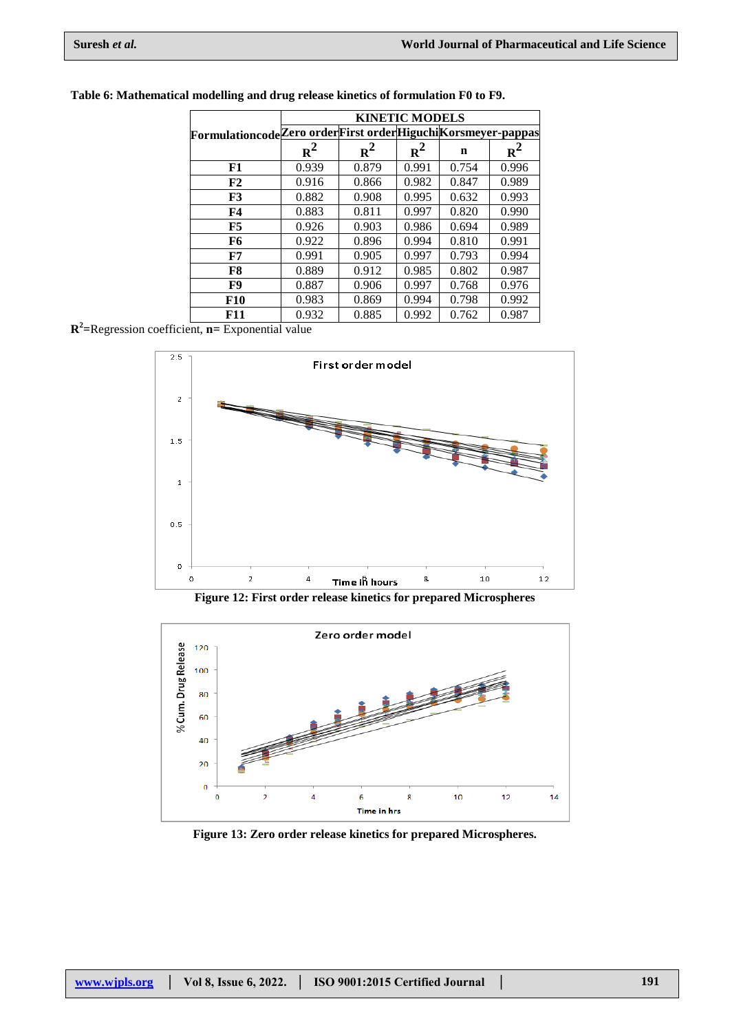|                                                             | <b>KINETIC MODELS</b> |       |       |       |       |  |  |  |
|-------------------------------------------------------------|-----------------------|-------|-------|-------|-------|--|--|--|
| FormulationcodeZero orderFirst orderHiguchiKorsmeyer-pappas |                       |       |       |       |       |  |  |  |
|                                                             | $R^2$                 | $R^2$ | $R^2$ | n     | $R^2$ |  |  |  |
| F1                                                          | 0.939                 | 0.879 | 0.991 | 0.754 | 0.996 |  |  |  |
| F2                                                          | 0.916                 | 0.866 | 0.982 | 0.847 | 0.989 |  |  |  |
| F3                                                          | 0.882                 | 0.908 | 0.995 | 0.632 | 0.993 |  |  |  |
| F4                                                          | 0.883                 | 0.811 | 0.997 | 0.820 | 0.990 |  |  |  |
| F5                                                          | 0.926                 | 0.903 | 0.986 | 0.694 | 0.989 |  |  |  |
| F6                                                          | 0.922                 | 0.896 | 0.994 | 0.810 | 0.991 |  |  |  |
| F7                                                          | 0.991                 | 0.905 | 0.997 | 0.793 | 0.994 |  |  |  |
| F8                                                          | 0.889                 | 0.912 | 0.985 | 0.802 | 0.987 |  |  |  |
| F9                                                          | 0.887                 | 0.906 | 0.997 | 0.768 | 0.976 |  |  |  |
| <b>F10</b>                                                  | 0.983                 | 0.869 | 0.994 | 0.798 | 0.992 |  |  |  |
| F11                                                         | 0.932                 | 0.885 | 0.992 | 0.762 | 0.987 |  |  |  |

### **Table 6: Mathematical modelling and drug release kinetics of formulation F0 to F9.**

**R 2 =**Regression coefficient, **n=** Exponential value



**Figure 12: First order release kinetics for prepared Microspheres**



**Figure 13: Zero order release kinetics for prepared Microspheres.**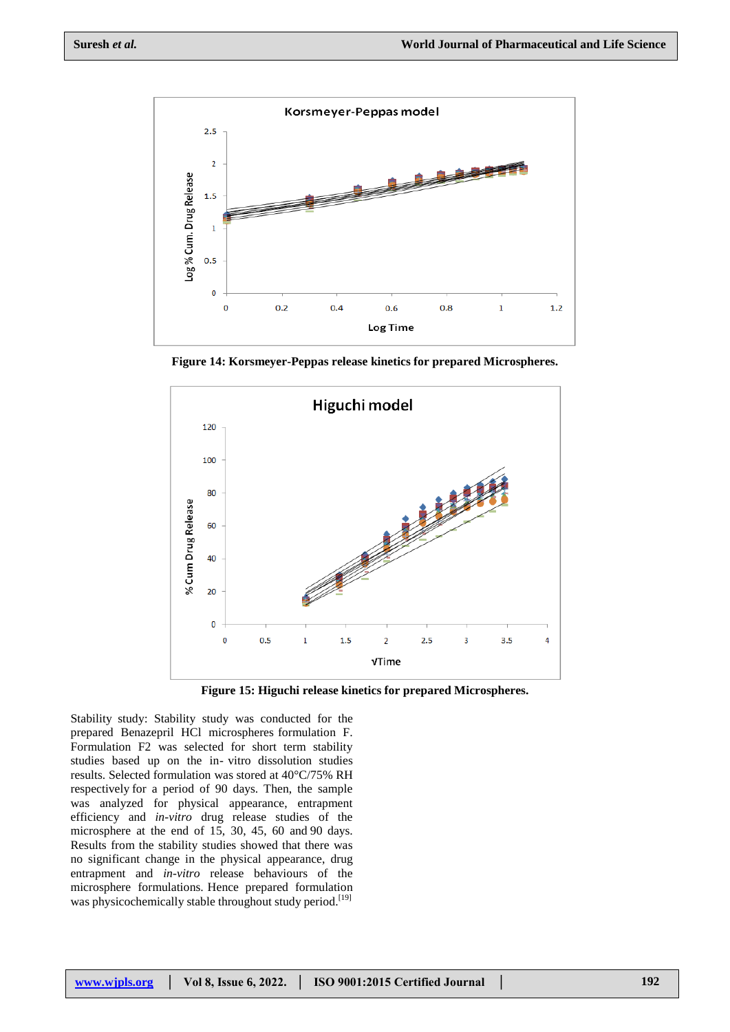

**Figure 14: Korsmeyer-Peppas release kinetics for prepared Microspheres.**



**Figure 15: Higuchi release kinetics for prepared Microspheres.**

Stability study: Stability study was conducted for the prepared Benazepril HCl microspheres formulation F. Formulation F2 was selected for short term stability studies based up on the in- vitro dissolution studies results. Selected formulation was stored at 40°C/75% RH respectively for a period of 90 days. Then, the sample was analyzed for physical appearance, entrapment efficiency and *in-vitro* drug release studies of the microsphere at the end of 15, 30, 45, 60 and 90 days. Results from the stability studies showed that there was no significant change in the physical appearance, drug entrapment and *in-vitro* release behaviours of the microsphere formulations. Hence prepared formulation was physicochemically stable throughout study period.<sup>[19]</sup>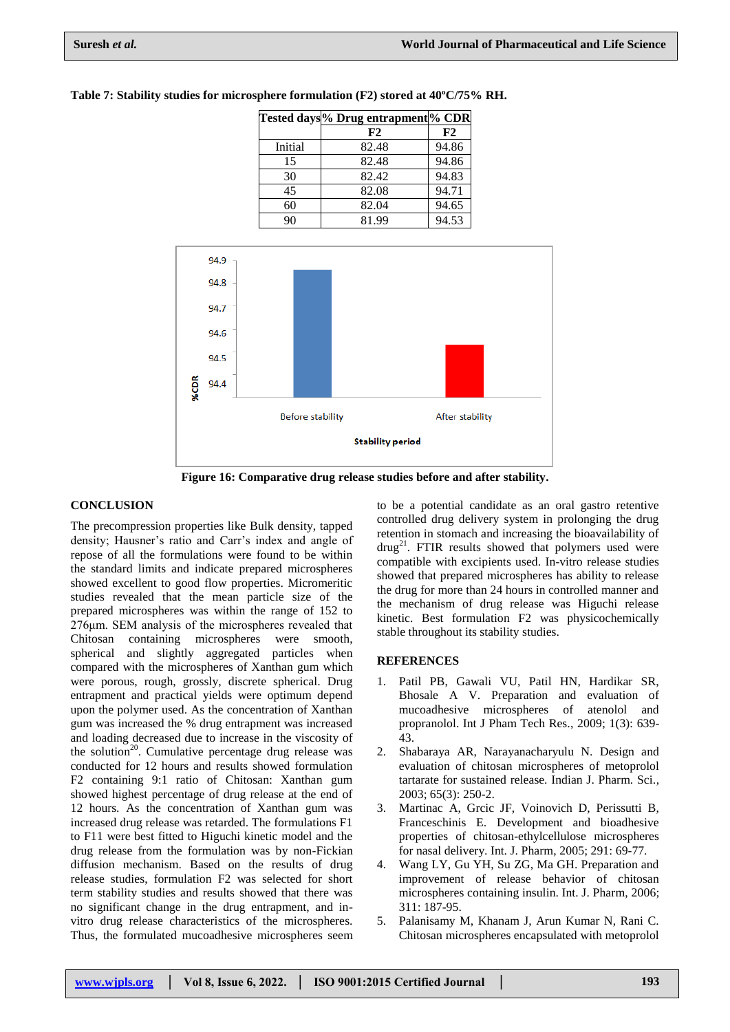|         | Tested days <sup>1</sup> % Drug entrapment <sup>1</sup> % CDR |       |
|---------|---------------------------------------------------------------|-------|
|         | F2                                                            | F2    |
| Initial | 82.48                                                         | 94.86 |
| 15      | 82.48                                                         | 94.86 |
| 30      | 82.42                                                         | 94.83 |
| 45      | 82.08                                                         | 94.71 |
| 60      | 82.04                                                         | 94.65 |
| 90      | 81.99                                                         | 94.53 |

**Table 7: Stability studies for microsphere formulation (F2) stored at 40ºC/75% RH.**



**Figure 16: Comparative drug release studies before and after stability.**

## **CONCLUSION**

The precompression properties like Bulk density, tapped density; Hausner's ratio and Carr's index and angle of repose of all the formulations were found to be within the standard limits and indicate prepared microspheres showed excellent to good flow properties. Micromeritic studies revealed that the mean particle size of the prepared microspheres was within the range of 152 to 276μm. SEM analysis of the microspheres revealed that Chitosan containing microspheres were smooth, spherical and slightly aggregated particles when compared with the microspheres of Xanthan gum which were porous, rough, grossly, discrete spherical. Drug entrapment and practical yields were optimum depend upon the polymer used. As the concentration of Xanthan gum was increased the % drug entrapment was increased and loading decreased due to increase in the viscosity of the solution<sup>20</sup>. Cumulative percentage drug release was conducted for 12 hours and results showed formulation F2 containing 9:1 ratio of Chitosan: Xanthan gum showed highest percentage of drug release at the end of 12 hours. As the concentration of Xanthan gum was increased drug release was retarded. The formulations F1 to F11 were best fitted to Higuchi kinetic model and the drug release from the formulation was by non-Fickian diffusion mechanism. Based on the results of drug release studies, formulation F2 was selected for short term stability studies and results showed that there was no significant change in the drug entrapment, and invitro drug release characteristics of the microspheres. Thus, the formulated mucoadhesive microspheres seem

to be a potential candidate as an oral gastro retentive controlled drug delivery system in prolonging the drug retention in stomach and increasing the bioavailability of drug<sup>21</sup>. FTIR results showed that polymers used were compatible with excipients used. In-vitro release studies showed that prepared microspheres has ability to release the drug for more than 24 hours in controlled manner and the mechanism of drug release was Higuchi release kinetic. Best formulation F2 was physicochemically stable throughout its stability studies.

## **REFERENCES**

- 1. Patil PB, Gawali VU, Patil HN, Hardikar SR, Bhosale A V. Preparation and evaluation of mucoadhesive microspheres of atenolol and propranolol. Int J Pham Tech Res., 2009; 1(3): 639- 43.
- 2. Shabaraya AR, Narayanacharyulu N. Design and evaluation of chitosan microspheres of metoprolol tartarate for sustained release. Indian J. Pharm. Sci., 2003; 65(3): 250-2.
- 3. Martinac A, Grcic JF, Voinovich D, Perissutti B, Franceschinis E. Development and bioadhesive properties of chitosan-ethylcellulose microspheres for nasal delivery. Int. J. Pharm, 2005; 291: 69-77.
- 4. Wang LY, Gu YH, Su ZG, Ma GH. Preparation and improvement of release behavior of chitosan microspheres containing insulin. Int. J. Pharm, 2006; 311: 187-95.
- 5. Palanisamy M, Khanam J, Arun Kumar N, Rani C. Chitosan microspheres encapsulated with metoprolol